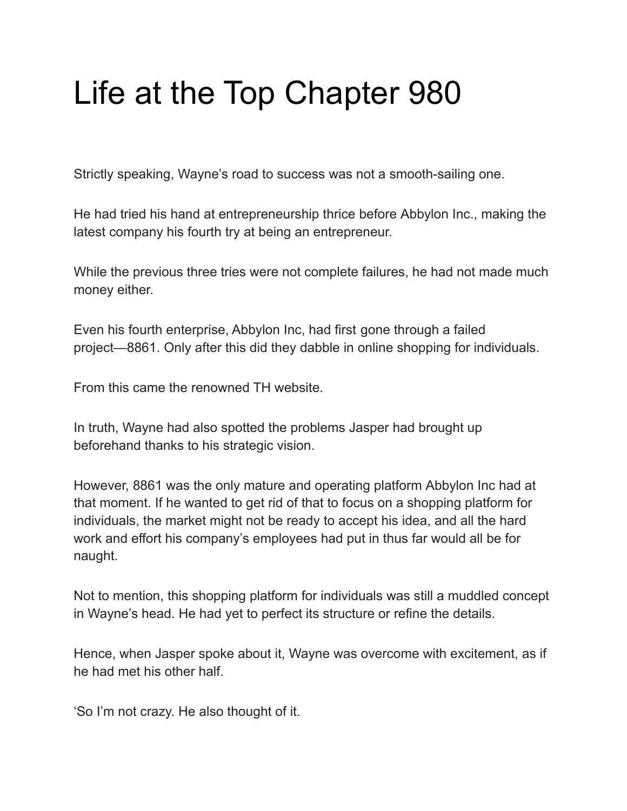## Life at the Top Chapter 980

Strictly speaking, Wayne's road to success was not a smooth-sailing one.

He had tried his hand at entrepreneurship thrice before Abbylon Inc., making the latest company his fourth try at being an entrepreneur.

While the previous three tries were not complete failures, he had not made much money either.

Even his fourth enterprise, Abbylon Inc, had first gone through a failed project—8861. Only after this did they dabble in online shopping for individuals.

From this came the renowned TH website.

In truth, Wayne had also spotted the problems Jasper had brought up beforehand thanks to his strategic vision.

However, 8861 was the only mature and operating platform Abbylon Inc had at that moment. If he wanted to get rid of that to focus on a shopping platform for individuals, the market might not be ready to accept his idea, and all the hard work and effort his company's employees had put in thus far would all be for naught.

Not to mention, this shopping platform for individuals was still a muddled concept in Wayne's head. He had yet to perfect its structure or refine the details.

Hence, when Jasper spoke about it, Wayne was overcome with excitement, as if he had met his other half.

'So I'm not crazy. He also thought of it.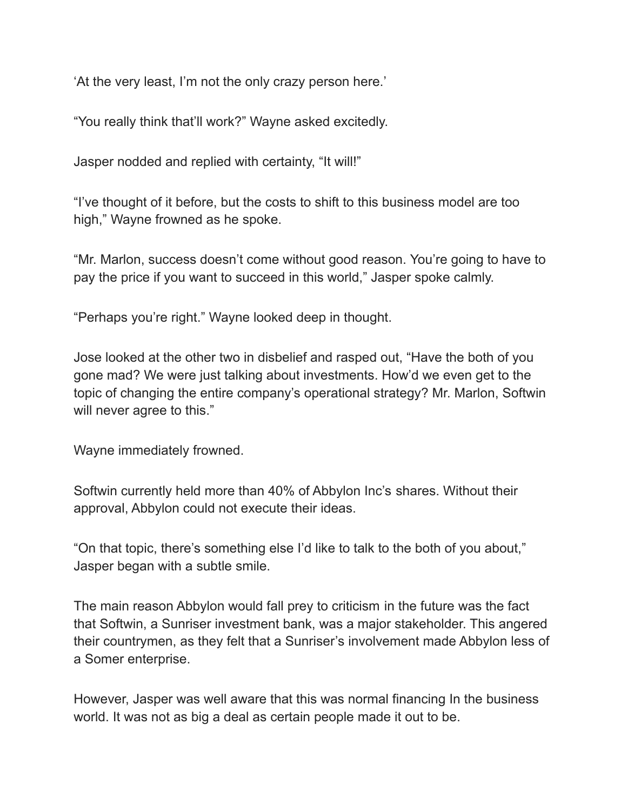'At the very least, I'm not the only crazy person here.'

"You really think that'll work?" Wayne asked excitedly.

Jasper nodded and replied with certainty, "It will!"

"I've thought of it before, but the costs to shift to this business model are too high," Wayne frowned as he spoke.

"Mr. Marlon, success doesn't come without good reason. You're going to have to pay the price if you want to succeed in this world," Jasper spoke calmly.

"Perhaps you're right." Wayne looked deep in thought.

Jose looked at the other two in disbelief and rasped out, "Have the both of you gone mad? We were just talking about investments. How'd we even get to the topic of changing the entire company's operational strategy? Mr. Marlon, Softwin will never agree to this."

Wayne immediately frowned.

Softwin currently held more than 40% of Abbylon Inc's shares. Without their approval, Abbylon could not execute their ideas.

"On that topic, there's something else I'd like to talk to the both of you about," Jasper began with a subtle smile.

The main reason Abbylon would fall prey to criticism in the future was the fact that Softwin, a Sunriser investment bank, was a major stakeholder. This angered their countrymen, as they felt that a Sunriser's involvement made Abbylon less of a Somer enterprise.

However, Jasper was well aware that this was normal financing In the business world. It was not as big a deal as certain people made it out to be.